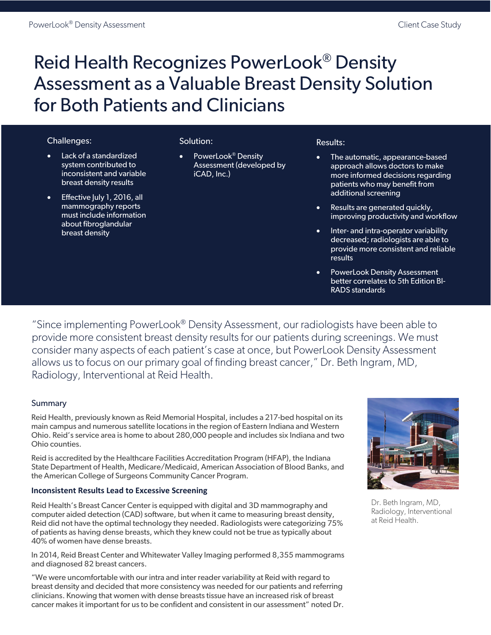# Reid Health Recognizes PowerLook® Density Assessment as a Valuable Breast Density Solution for Both Patients and Clinicians

# Challenges:

- Lack of a standardized system contributed to inconsistent and variable breast density results
- Effective July 1, 2016, all mammography reports must include information about fibroglandular breast density

# Solution:

• PowerLook<sup>®</sup> Density Assessment (developed by iCAD, Inc.)

#### Results:

- The automatic, appearance-based approach allows doctors to make more informed decisions regarding patients who may benefit from additional screening
- Results are generated quickly, improving productivity and workflow
- Inter- and intra-operator variability decreased; radiologists are able to provide more consistent and reliable results
- PowerLook Density Assessment better correlates to 5th Edition BI-RADS standards

"Since implementing PowerLook® Density Assessment, our radiologists have been able to provide more consistent breast density results for our patients during screenings. We must consider many aspects of each patient's case at once, but PowerLook Density Assessment allows us to focus on our primary goal of finding breast cancer," Dr. Beth Ingram, MD, Radiology, Interventional at Reid Health.

# Summary

Reid Health, previously known as Reid Memorial Hospital, includes a 217-bed hospital on its main campus and numerous satellite locations in the region of Eastern Indiana and Western Ohio. Reid's service area is home to about 280,000 people and includes six Indiana and two Ohio counties.

Reid is accredited by the Healthcare Facilities Accreditation Program (HFAP), the Indiana State Department of Health, Medicare/Medicaid, American Association of Blood Banks, and the American College of Surgeons Community Cancer Program.

# **Inconsistent Results Lead to Excessive Screening**

Reid Health's Breast Cancer Center is equipped with digital and 3D mammography and computer aided detection (CAD) software, but when it came to measuring breast density, Reid did not have the optimal technology they needed. Radiologists were categorizing 75% of patients as having dense breasts, which they knew could not be true as typically about 40% of women have dense breasts.

In 2014, Reid Breast Center and Whitewater Valley Imaging performed 8,355 mammograms and diagnosed 82 breast cancers.

"We were uncomfortable with our intra and inter reader variability at Reid with regard to breast density and decided that more consistency was needed for our patients and referring clinicians. Knowing that women with dense breasts tissue have an increased risk of breast cancer makes it important for us to be confident and consistent in our assessment" noted Dr.



Dr. Beth Ingram, MD, Radiology, Interventional at Reid Health.